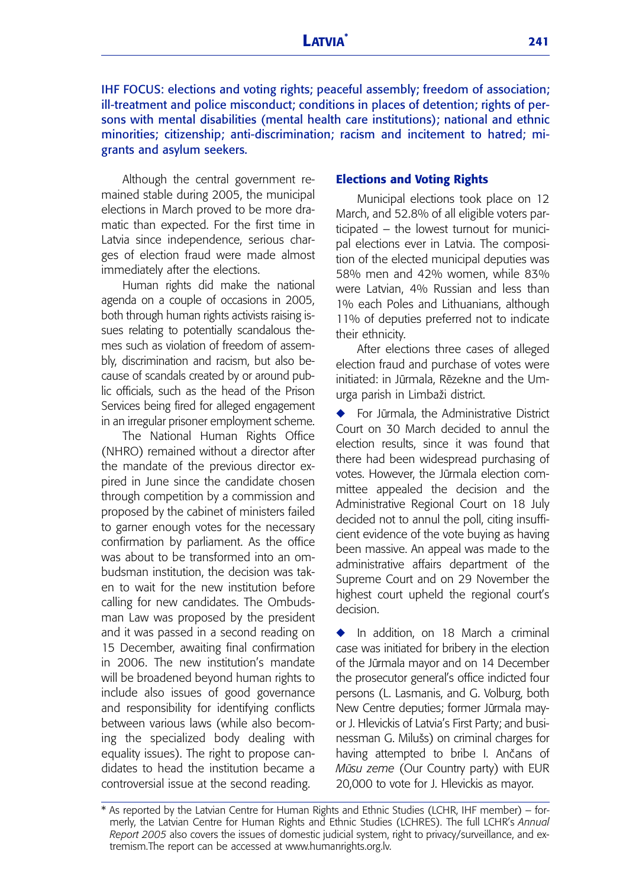IHF FOCUS: elections and voting rights; peaceful assembly; freedom of association; ill-treatment and police misconduct; conditions in places of detention; rights of persons with mental disabilities (mental health care institutions); national and ethnic minorities; citizenship; anti-discrimination; racism and incitement to hatred; migrants and asylum seekers.

Although the central government remained stable during 2005, the municipal elections in March proved to be more dramatic than expected. For the first time in Latvia since independence, serious charges of election fraud were made almost immediately after the elections.

Human rights did make the national agenda on a couple of occasions in 2005, both through human rights activists raising issues relating to potentially scandalous themes such as violation of freedom of assembly, discrimination and racism, but also because of scandals created by or around public officials, such as the head of the Prison Services being fired for alleged engagement in an irregular prisoner employment scheme.

The National Human Rights Office (NHRO) remained without a director after the mandate of the previous director expired in June since the candidate chosen through competition by a commission and proposed by the cabinet of ministers failed to garner enough votes for the necessary confirmation by parliament. As the office was about to be transformed into an ombudsman institution, the decision was taken to wait for the new institution before calling for new candidates. The Ombudsman Law was proposed by the president and it was passed in a second reading on 15 December, awaiting final confirmation in 2006. The new institution's mandate will be broadened beyond human rights to include also issues of good governance and responsibility for identifying conflicts between various laws (while also becoming the specialized body dealing with equality issues). The right to propose candidates to head the institution became a controversial issue at the second reading.

#### **Elections and Voting Rights**

Municipal elections took place on 12 March, and 52.8% of all eligible voters participated – the lowest turnout for municipal elections ever in Latvia. The composition of the elected municipal deputies was 58% men and 42% women, while 83% were Latvian, 4% Russian and less than 1% each Poles and Lithuanians, although 11% of deputies preferred not to indicate their ethnicity.

After elections three cases of alleged election fraud and purchase of votes were initiated: in Jūrmala, Rēzekne and the Umurga parish in Limbaži district.

For Jūrmala, the Administrative District Court on 30 March decided to annul the election results, since it was found that there had been widespread purchasing of votes. However, the Jūrmala election committee appealed the decision and the Administrative Regional Court on 18 July decided not to annul the poll, citing insufficient evidence of the vote buying as having been massive. An appeal was made to the administrative affairs department of the Supreme Court and on 29 November the highest court upheld the regional court's decision.

◆ In addition, on 18 March a criminal case was initiated for bribery in the election of the Jūrmala mayor and on 14 December the prosecutor general's office indicted four persons (L. Lasmanis, and G. Volburg, both New Centre deputies; former Jūrmala mayor J. Hlevickis of Latvia's First Party; and businessman G. Milušs) on criminal charges for having attempted to bribe I. Ančans of *Mūsu zeme* (Our Country party) with EUR 20,000 to vote for J. Hlevickis as mayor.

<sup>\*</sup> As reported by the Latvian Centre for Human Rights and Ethnic Studies (LCHR, IHF member) – formerly, the Latvian Centre for Human Rights and Ethnic Studies (LCHRES). The full LCHR's *Annual Report 2005* also covers the issues of domestic judicial system, right to privacy/surveillance, and extremism.The report can be accessed at www.humanrights.org.lv.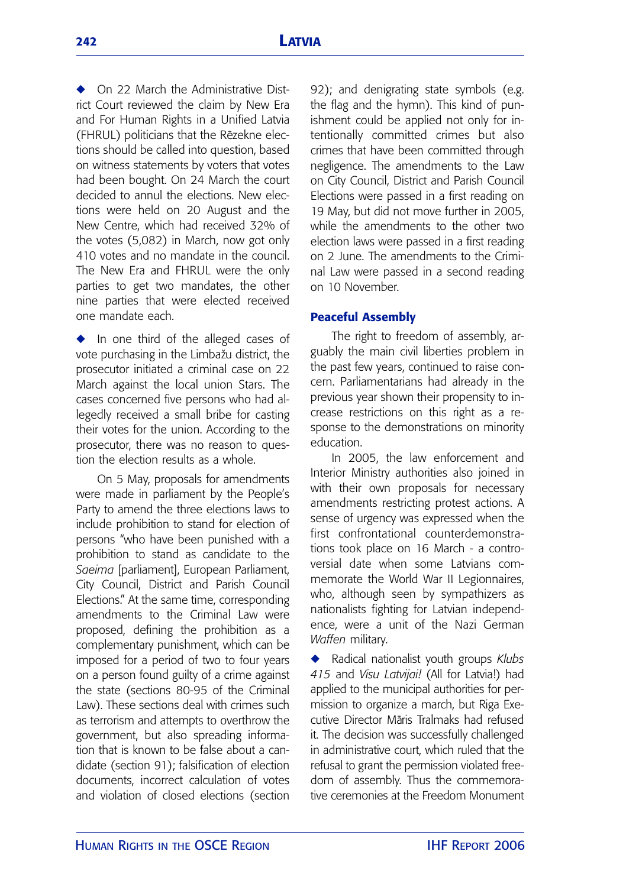◆ On 22 March the Administrative District Court reviewed the claim by New Era and For Human Rights in a Unified Latvia (FHRUL) politicians that the Rezekne elections should be called into question, based on witness statements by voters that votes had been bought. On 24 March the court decided to annul the elections. New elections were held on 20 August and the New Centre, which had received 32% of the votes (5,082) in March, now got only 410 votes and no mandate in the council. The New Era and FHRUL were the only parties to get two mandates, the other nine parties that were elected received one mandate each.

**◆** In one third of the alleged cases of vote purchasing in the Limbažu district, the prosecutor initiated a criminal case on 22 March against the local union Stars. The cases concerned five persons who had allegedly received a small bribe for casting their votes for the union. According to the prosecutor, there was no reason to question the election results as a whole.

On 5 May, proposals for amendments were made in parliament by the People's Party to amend the three elections laws to include prohibition to stand for election of persons "who have been punished with a prohibition to stand as candidate to the *Saeima* [parliament], European Parliament, City Council, District and Parish Council Elections." At the same time, corresponding amendments to the Criminal Law were proposed, defining the prohibition as a complementary punishment, which can be imposed for a period of two to four years on a person found guilty of a crime against the state (sections 80-95 of the Criminal Law). These sections deal with crimes such as terrorism and attempts to overthrow the government, but also spreading information that is known to be false about a candidate (section 91); falsification of election documents, incorrect calculation of votes and violation of closed elections (section 92); and denigrating state symbols (e.g. the flag and the hymn). This kind of punishment could be applied not only for intentionally committed crimes but also crimes that have been committed through negligence. The amendments to the Law on City Council, District and Parish Council Elections were passed in a first reading on 19 May, but did not move further in 2005, while the amendments to the other two election laws were passed in a first reading on 2 June. The amendments to the Criminal Law were passed in a second reading on 10 November.

## **Peaceful Assembly**

The right to freedom of assembly, arguably the main civil liberties problem in the past few years, continued to raise concern. Parliamentarians had already in the previous year shown their propensity to increase restrictions on this right as a response to the demonstrations on minority education.

In 2005, the law enforcement and Interior Ministry authorities also joined in with their own proposals for necessary amendments restricting protest actions. A sense of urgency was expressed when the first confrontational counterdemonstrations took place on 16 March - a controversial date when some Latvians commemorate the World War II Legionnaires, who, although seen by sympathizers as nationalists fighting for Latvian independence, were a unit of the Nazi German *Waffen* military.

**◆** Radical nationalist youth groups *Klubs 415* and *Visu Latvijai!* (All for Latvia!) had applied to the municipal authorities for permission to organize a march, but Riga Executive Director Māris Tralmaks had refused it. The decision was successfully challenged in administrative court, which ruled that the refusal to grant the permission violated freedom of assembly. Thus the commemorative ceremonies at the Freedom Monument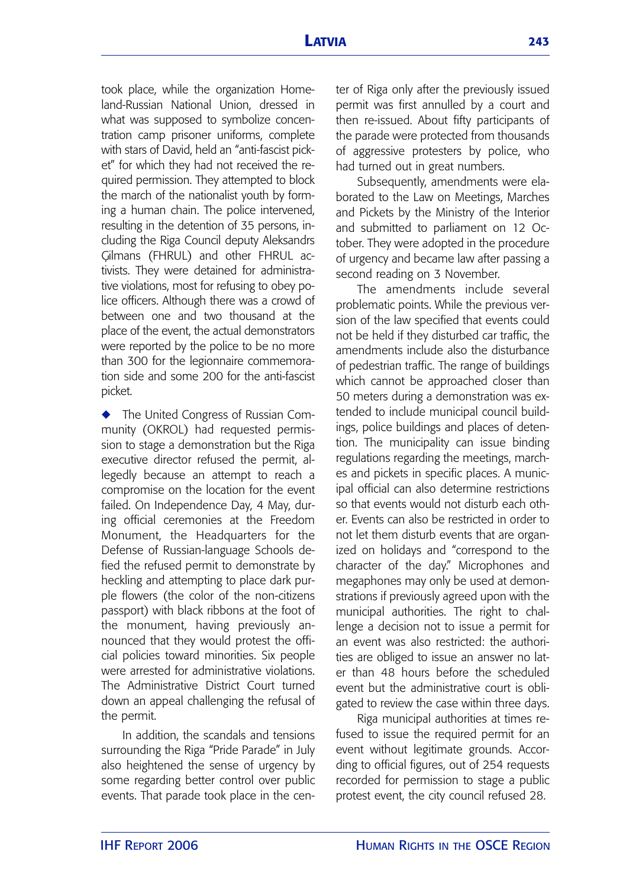took place, while the organization Homeland-Russian National Union, dressed in what was supposed to symbolize concentration camp prisoner uniforms, complete with stars of David, held an "anti-fascist picket" for which they had not received the required permission. They attempted to block the march of the nationalist youth by forming a human chain. The police intervened, resulting in the detention of 35 persons, including the Riga Council deputy Aleksandrs Gilmans (FHRUL) and other FHRUL activists. They were detained for administrative violations, most for refusing to obey police officers. Although there was a crowd of between one and two thousand at the place of the event, the actual demonstrators were reported by the police to be no more than 300 for the legionnaire commemoration side and some 200 for the anti-fascist picket.

**◆** The United Congress of Russian Community (OKROL) had requested permission to stage a demonstration but the Riga executive director refused the permit, allegedly because an attempt to reach a compromise on the location for the event failed. On Independence Day, 4 May, during official ceremonies at the Freedom Monument, the Headquarters for the Defense of Russian-language Schools defied the refused permit to demonstrate by heckling and attempting to place dark purple flowers (the color of the non-citizens passport) with black ribbons at the foot of the monument, having previously announced that they would protest the official policies toward minorities. Six people were arrested for administrative violations. The Administrative District Court turned down an appeal challenging the refusal of the permit.

In addition, the scandals and tensions surrounding the Riga "Pride Parade" in July also heightened the sense of urgency by some regarding better control over public events. That parade took place in the center of Riga only after the previously issued permit was first annulled by a court and then re-issued. About fifty participants of the parade were protected from thousands of aggressive protesters by police, who had turned out in great numbers.

Subsequently, amendments were elaborated to the Law on Meetings, Marches and Pickets by the Ministry of the Interior and submitted to parliament on 12 October. They were adopted in the procedure of urgency and became law after passing a second reading on 3 November.

The amendments include several problematic points. While the previous version of the law specified that events could not be held if they disturbed car traffic, the amendments include also the disturbance of pedestrian traffic. The range of buildings which cannot be approached closer than 50 meters during a demonstration was extended to include municipal council buildings, police buildings and places of detention. The municipality can issue binding regulations regarding the meetings, marches and pickets in specific places. A municipal official can also determine restrictions so that events would not disturb each other. Events can also be restricted in order to not let them disturb events that are organized on holidays and "correspond to the character of the day." Microphones and megaphones may only be used at demonstrations if previously agreed upon with the municipal authorities. The right to challenge a decision not to issue a permit for an event was also restricted: the authorities are obliged to issue an answer no later than 48 hours before the scheduled event but the administrative court is obligated to review the case within three days.

Riga municipal authorities at times refused to issue the required permit for an event without legitimate grounds. According to official figures, out of 254 requests recorded for permission to stage a public protest event, the city council refused 28.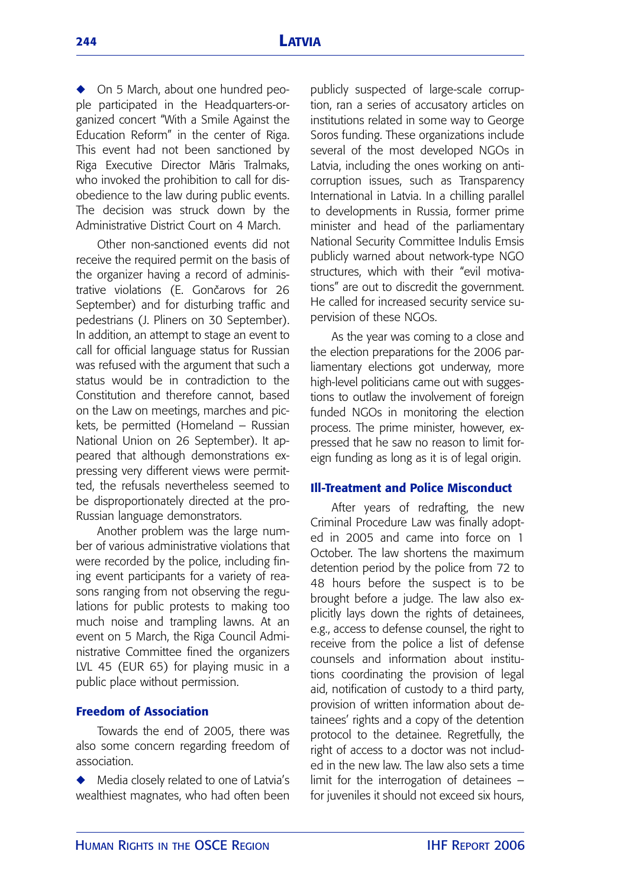◆ On 5 March, about one hundred people participated in the Headquarters-organized concert "With a Smile Against the Education Reform" in the center of Riga. This event had not been sanctioned by Riga Executive Director Māris Tralmaks, who invoked the prohibition to call for disobedience to the law during public events. The decision was struck down by the Administrative District Court on 4 March.

Other non-sanctioned events did not receive the required permit on the basis of the organizer having a record of administrative violations (E. Gončarovs for 26 September) and for disturbing traffic and pedestrians (J. Pliners on 30 September). In addition, an attempt to stage an event to call for official language status for Russian was refused with the argument that such a status would be in contradiction to the Constitution and therefore cannot, based on the Law on meetings, marches and pickets, be permitted (Homeland – Russian National Union on 26 September). It appeared that although demonstrations expressing very different views were permitted, the refusals nevertheless seemed to be disproportionately directed at the pro-Russian language demonstrators.

Another problem was the large number of various administrative violations that were recorded by the police, including fining event participants for a variety of reasons ranging from not observing the regulations for public protests to making too much noise and trampling lawns. At an event on 5 March, the Riga Council Administrative Committee fined the organizers LVL 45 (EUR 65) for playing music in a public place without permission.

# **Freedom of Association**

Towards the end of 2005, there was also some concern regarding freedom of association.

Media closely related to one of Latvia's wealthiest magnates, who had often been publicly suspected of large-scale corruption, ran a series of accusatory articles on institutions related in some way to George Soros funding. These organizations include several of the most developed NGOs in Latvia, including the ones working on anticorruption issues, such as Transparency International in Latvia. In a chilling parallel to developments in Russia, former prime minister and head of the parliamentary National Security Committee Indulis Emsis publicly warned about network-type NGO structures, which with their "evil motivations" are out to discredit the government. He called for increased security service supervision of these NGOs.

As the year was coming to a close and the election preparations for the 2006 parliamentary elections got underway, more high-level politicians came out with suggestions to outlaw the involvement of foreign funded NGOs in monitoring the election process. The prime minister, however, expressed that he saw no reason to limit foreign funding as long as it is of legal origin.

### **Ill-Treatment and Police Misconduct**

After years of redrafting, the new Criminal Procedure Law was finally adopted in 2005 and came into force on 1 October. The law shortens the maximum detention period by the police from 72 to 48 hours before the suspect is to be brought before a judge. The law also explicitly lays down the rights of detainees, e.g., access to defense counsel, the right to receive from the police a list of defense counsels and information about institutions coordinating the provision of legal aid, notification of custody to a third party, provision of written information about detainees' rights and a copy of the detention protocol to the detainee. Regretfully, the right of access to a doctor was not included in the new law. The law also sets a time limit for the interrogation of detainees – for juveniles it should not exceed six hours,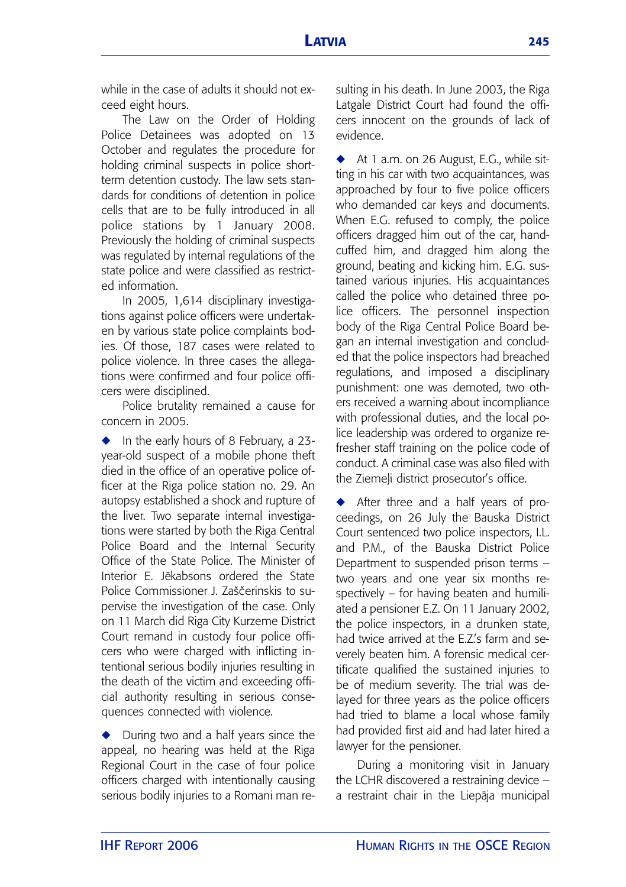while in the case of adults it should not exceed eight hours.

The Law on the Order of Holding Police Detainees was adopted on 13 October and regulates the procedure for holding criminal suspects in police shortterm detention custody. The law sets standards for conditions of detention in police cells that are to be fully introduced in all police stations by 1 January 2008. Previously the holding of criminal suspects was regulated by internal regulations of the state police and were classified as restricted information.

In 2005, 1,614 disciplinary investigations against police officers were undertaken by various state police complaints bodies. Of those, 187 cases were related to police violence. In three cases the allegations were confirmed and four police officers were disciplined.

Police brutality remained a cause for concern in 2005.

In the early hours of 8 February, a 23year-old suspect of a mobile phone theft died in the office of an operative police officer at the Riga police station no. 29. An autopsy established a shock and rupture of the liver. Two separate internal investigations were started by both the Riga Central Police Board and the Internal Security Office of the State Police. The Minister of Interior E. Jekabsons ordered the State Police Commissioner J. Zaščerinskis to supervise the investigation of the case. Only on 11 March did Riga City Kurzeme District Court remand in custody four police officers who were charged with inflicting intentional serious bodily injuries resulting in the death of the victim and exceeding official authority resulting in serious consequences connected with violence.

**◆** During two and a half years since the appeal, no hearing was held at the Riga Regional Court in the case of four police officers charged with intentionally causing serious bodily injuries to a Romani man resulting in his death. In June 2003, the Riga Latgale District Court had found the officers innocent on the grounds of lack of evidence.

◆ At 1 a.m. on 26 August, E.G., while sitting in his car with two acquaintances, was approached by four to five police officers who demanded car keys and documents. When E.G. refused to comply, the police officers dragged him out of the car, handcuffed him, and dragged him along the ground, beating and kicking him. E.G. sustained various injuries. His acquaintances called the police who detained three police officers. The personnel inspection body of the Riga Central Police Board began an internal investigation and concluded that the police inspectors had breached regulations, and imposed a disciplinary punishment: one was demoted, two others received a warning about incompliance with professional duties, and the local police leadership was ordered to organize refresher staff training on the police code of conduct. A criminal case was also filed with the Ziemeli district prosecutor's office.

◆ After three and a half years of proceedings, on 26 July the Bauska District Court sentenced two police inspectors, I.L. and P.M., of the Bauska District Police Department to suspended prison terms – two years and one year six months respectively – for having beaten and humiliated a pensioner E.Z. On 11 January 2002, the police inspectors, in a drunken state, had twice arrived at the E.Z's farm and severely beaten him. A forensic medical certificate qualified the sustained injuries to be of medium severity. The trial was delayed for three years as the police officers had tried to blame a local whose family had provided first aid and had later hired a lawyer for the pensioner.

During a monitoring visit in January the LCHR discovered a restraining device – a restraint chair in the Liepāja municipal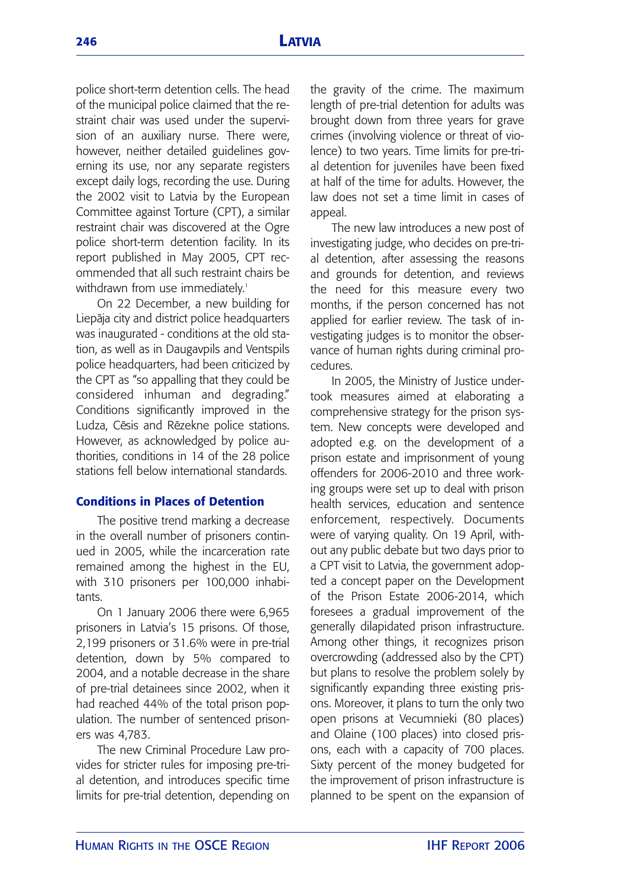police short-term detention cells. The head of the municipal police claimed that the restraint chair was used under the supervision of an auxiliary nurse. There were, however, neither detailed guidelines governing its use, nor any separate registers except daily logs, recording the use. During the 2002 visit to Latvia by the European Committee against Torture (CPT), a similar restraint chair was discovered at the Ogre police short-term detention facility. In its report published in May 2005, CPT recommended that all such restraint chairs be withdrawn from use immediately.<sup>1</sup>

On 22 December, a new building for Liepāja city and district police headquarters was inaugurated - conditions at the old station, as well as in Daugavpils and Ventspils police headquarters, had been criticized by the CPT as "so appalling that they could be considered inhuman and degrading." Conditions significantly improved in the Ludza, Cēsis and Rēzekne police stations. However, as acknowledged by police authorities, conditions in 14 of the 28 police stations fell below international standards.

# **Conditions in Places of Detention**

The positive trend marking a decrease in the overall number of prisoners continued in 2005, while the incarceration rate remained among the highest in the EU, with 310 prisoners per 100,000 inhabitants.

On 1 January 2006 there were 6,965 prisoners in Latvia's 15 prisons. Of those, 2,199 prisoners or 31.6% were in pre-trial detention, down by 5% compared to 2004, and a notable decrease in the share of pre-trial detainees since 2002, when it had reached 44% of the total prison population. The number of sentenced prisoners was 4,783.

The new Criminal Procedure Law provides for stricter rules for imposing pre-trial detention, and introduces specific time limits for pre-trial detention, depending on the gravity of the crime. The maximum length of pre-trial detention for adults was brought down from three years for grave crimes (involving violence or threat of violence) to two years. Time limits for pre-trial detention for juveniles have been fixed at half of the time for adults. However, the law does not set a time limit in cases of appeal.

The new law introduces a new post of investigating judge, who decides on pre-trial detention, after assessing the reasons and grounds for detention, and reviews the need for this measure every two months, if the person concerned has not applied for earlier review. The task of investigating judges is to monitor the observance of human rights during criminal procedures.

In 2005, the Ministry of Justice undertook measures aimed at elaborating a comprehensive strategy for the prison system. New concepts were developed and adopted e.g. on the development of a prison estate and imprisonment of young offenders for 2006-2010 and three working groups were set up to deal with prison health services, education and sentence enforcement, respectively. Documents were of varying quality. On 19 April, without any public debate but two days prior to a CPT visit to Latvia, the government adopted a concept paper on the Development of the Prison Estate 2006-2014, which foresees a gradual improvement of the generally dilapidated prison infrastructure. Among other things, it recognizes prison overcrowding (addressed also by the CPT) but plans to resolve the problem solely by significantly expanding three existing prisons. Moreover, it plans to turn the only two open prisons at Vecumnieki (80 places) and Olaine (100 places) into closed prisons, each with a capacity of 700 places. Sixty percent of the money budgeted for the improvement of prison infrastructure is planned to be spent on the expansion of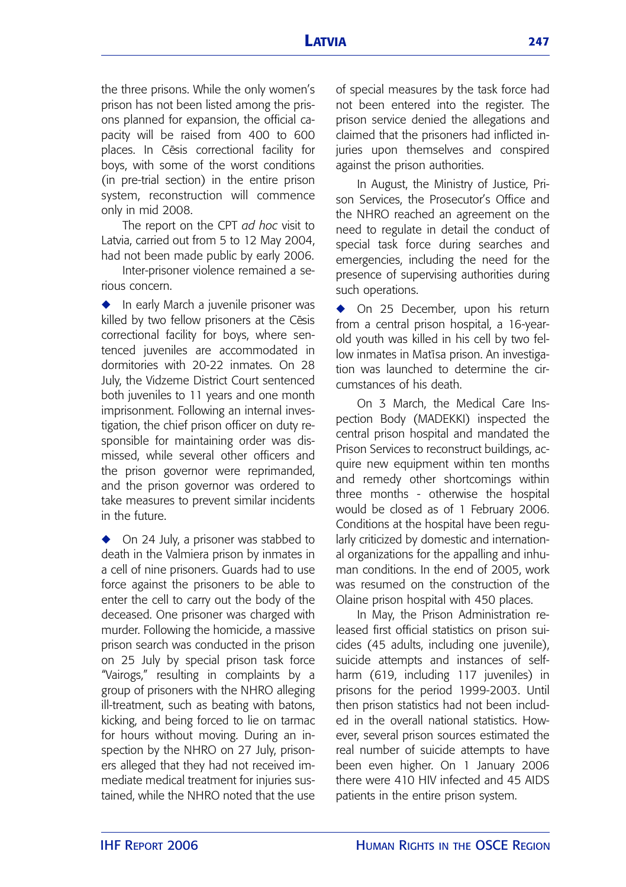the three prisons. While the only women's prison has not been listed among the prisons planned for expansion, the official capacity will be raised from 400 to 600 places. In Cesis correctional facility for boys, with some of the worst conditions (in pre-trial section) in the entire prison system, reconstruction will commence only in mid 2008.

The report on the CPT *ad hoc* visit to Latvia, carried out from 5 to 12 May 2004, had not been made public by early 2006.

Inter-prisoner violence remained a serious concern.

◆ In early March a juvenile prisoner was killed by two fellow prisoners at the Cēsis correctional facility for boys, where sentenced juveniles are accommodated in dormitories with 20-22 inmates. On 28 July, the Vidzeme District Court sentenced both juveniles to 11 years and one month imprisonment. Following an internal investigation, the chief prison officer on duty responsible for maintaining order was dismissed, while several other officers and the prison governor were reprimanded, and the prison governor was ordered to take measures to prevent similar incidents in the future.

◆ On 24 July, a prisoner was stabbed to death in the Valmiera prison by inmates in a cell of nine prisoners. Guards had to use force against the prisoners to be able to enter the cell to carry out the body of the deceased. One prisoner was charged with murder. Following the homicide, a massive prison search was conducted in the prison on 25 July by special prison task force "Vairogs," resulting in complaints by a group of prisoners with the NHRO alleging ill-treatment, such as beating with batons, kicking, and being forced to lie on tarmac for hours without moving. During an inspection by the NHRO on 27 July, prisoners alleged that they had not received immediate medical treatment for injuries sustained, while the NHRO noted that the use

of special measures by the task force had not been entered into the register. The prison service denied the allegations and claimed that the prisoners had inflicted injuries upon themselves and conspired against the prison authorities.

In August, the Ministry of Justice, Prison Services, the Prosecutor's Office and the NHRO reached an agreement on the need to regulate in detail the conduct of special task force during searches and emergencies, including the need for the presence of supervising authorities during such operations.

◆ On 25 December, upon his return from a central prison hospital, a 16-yearold youth was killed in his cell by two fellow inmates in Matīsa prison. An investigation was launched to determine the circumstances of his death.

On 3 March, the Medical Care Inspection Body (MADEKKI) inspected the central prison hospital and mandated the Prison Services to reconstruct buildings, acquire new equipment within ten months and remedy other shortcomings within three months - otherwise the hospital would be closed as of 1 February 2006. Conditions at the hospital have been regularly criticized by domestic and international organizations for the appalling and inhuman conditions. In the end of 2005, work was resumed on the construction of the Olaine prison hospital with 450 places.

In May, the Prison Administration released first official statistics on prison suicides (45 adults, including one juvenile), suicide attempts and instances of selfharm (619, including 117 juveniles) in prisons for the period 1999-2003. Until then prison statistics had not been included in the overall national statistics. However, several prison sources estimated the real number of suicide attempts to have been even higher. On 1 January 2006 there were 410 HIV infected and 45 AIDS patients in the entire prison system.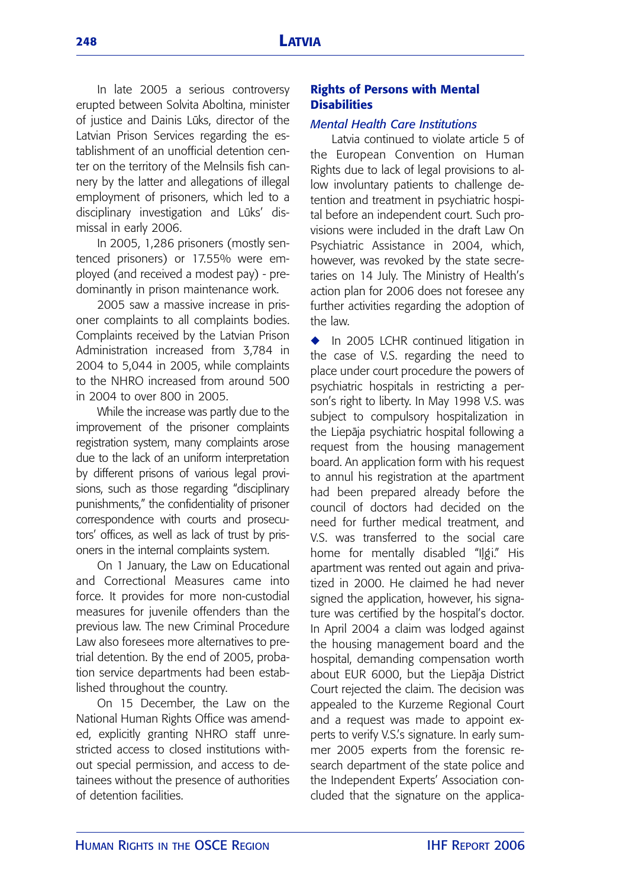In late 2005 a serious controversy erupted between Solvita Aboltina, minister of justice and Dainis Lūks, director of the Latvian Prison Services regarding the establishment of an unofficial detention center on the territory of the Melnsils fish cannery by the latter and allegations of illegal employment of prisoners, which led to a disciplinary investigation and Lūks' dismissal in early 2006.

In 2005, 1,286 prisoners (mostly sentenced prisoners) or 17.55% were employed (and received a modest pay) - predominantly in prison maintenance work.

2005 saw a massive increase in prisoner complaints to all complaints bodies. Complaints received by the Latvian Prison Administration increased from 3,784 in 2004 to 5,044 in 2005, while complaints to the NHRO increased from around 500 in 2004 to over 800 in 2005.

While the increase was partly due to the improvement of the prisoner complaints registration system, many complaints arose due to the lack of an uniform interpretation by different prisons of various legal provisions, such as those regarding "disciplinary punishments," the confidentiality of prisoner correspondence with courts and prosecutors' offices, as well as lack of trust by prisoners in the internal complaints system.

On 1 January, the Law on Educational and Correctional Measures came into force. It provides for more non-custodial measures for juvenile offenders than the previous law. The new Criminal Procedure Law also foresees more alternatives to pretrial detention. By the end of 2005, probation service departments had been established throughout the country.

On 15 December, the Law on the National Human Rights Office was amended, explicitly granting NHRO staff unrestricted access to closed institutions without special permission, and access to detainees without the presence of authorities of detention facilities.

# **Rights of Persons with Mental Disabilities**

### *Mental Health Care Institutions*

Latvia continued to violate article 5 of the European Convention on Human Rights due to lack of legal provisions to allow involuntary patients to challenge detention and treatment in psychiatric hospital before an independent court. Such provisions were included in the draft Law On Psychiatric Assistance in 2004, which, however, was revoked by the state secretaries on 14 July. The Ministry of Health's action plan for 2006 does not foresee any further activities regarding the adoption of the law.

◆ In 2005 LCHR continued litigation in the case of V.S. regarding the need to place under court procedure the powers of psychiatric hospitals in restricting a person's right to liberty. In May 1998 V.S. was subject to compulsory hospitalization in the Liepāja psychiatric hospital following a request from the housing management board. An application form with his request to annul his registration at the apartment had been prepared already before the council of doctors had decided on the need for further medical treatment, and V.S. was transferred to the social care home for mentally disabled "Ilgi." His apartment was rented out again and privatized in 2000. He claimed he had never signed the application, however, his signature was certified by the hospital's doctor. In April 2004 a claim was lodged against the housing management board and the hospital, demanding compensation worth about EUR 6000, but the Liepāja District Court rejected the claim. The decision was appealed to the Kurzeme Regional Court and a request was made to appoint experts to verify V.S.'s signature. In early summer 2005 experts from the forensic research department of the state police and the Independent Experts' Association concluded that the signature on the applica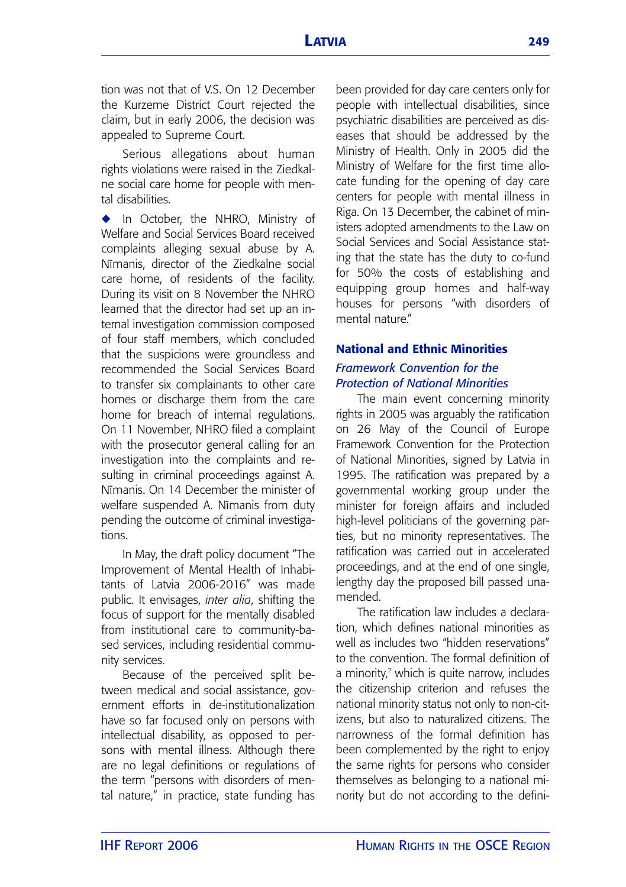tion was not that of V.S. On 12 December the Kurzeme District Court rejected the claim, but in early 2006, the decision was appealed to Supreme Court.

Serious allegations about human rights violations were raised in the Ziedkalne social care home for people with mental disabilities.

**◆** In October, the NHRO, Ministry of Welfare and Social Services Board received complaints alleging sexual abuse by A. Nīmanis, director of the Ziedkalne social care home, of residents of the facility. During its visit on 8 November the NHRO learned that the director had set up an internal investigation commission composed of four staff members, which concluded that the suspicions were groundless and recommended the Social Services Board to transfer six complainants to other care homes or discharge them from the care home for breach of internal regulations. On 11 November, NHRO filed a complaint with the prosecutor general calling for an investigation into the complaints and resulting in criminal proceedings against A. Nīmanis. On 14 December the minister of welfare suspended A. Nīmanis from duty pending the outcome of criminal investigations.

In May, the draft policy document "The Improvement of Mental Health of Inhabitants of Latvia 2006-2016" was made public. It envisages, *inter alia*, shifting the focus of support for the mentally disabled from institutional care to community-based services, including residential community services.

Because of the perceived split between medical and social assistance, government efforts in de-institutionalization have so far focused only on persons with intellectual disability, as opposed to persons with mental illness. Although there are no legal definitions or regulations of the term "persons with disorders of mental nature," in practice, state funding has

been provided for day care centers only for people with intellectual disabilities, since psychiatric disabilities are perceived as diseases that should be addressed by the Ministry of Health. Only in 2005 did the Ministry of Welfare for the first time allocate funding for the opening of day care centers for people with mental illness in Riga. On 13 December, the cabinet of ministers adopted amendments to the Law on Social Services and Social Assistance stating that the state has the duty to co-fund for 50% the costs of establishing and equipping group homes and half-way houses for persons "with disorders of mental nature"

# **National and Ethnic Minorities** *Framework Convention for the Protection of National Minorities*

The main event concerning minority rights in 2005 was arguably the ratification on 26 May of the Council of Europe Framework Convention for the Protection of National Minorities, signed by Latvia in 1995. The ratification was prepared by a governmental working group under the minister for foreign affairs and included high-level politicians of the governing parties, but no minority representatives. The ratification was carried out in accelerated proceedings, and at the end of one single, lengthy day the proposed bill passed unamended.

The ratification law includes a declaration, which defines national minorities as well as includes two "hidden reservations" to the convention. The formal definition of a minority,<sup>2</sup> which is quite narrow, includes the citizenship criterion and refuses the national minority status not only to non-citizens, but also to naturalized citizens. The narrowness of the formal definition has been complemented by the right to enjoy the same rights for persons who consider themselves as belonging to a national minority but do not according to the defini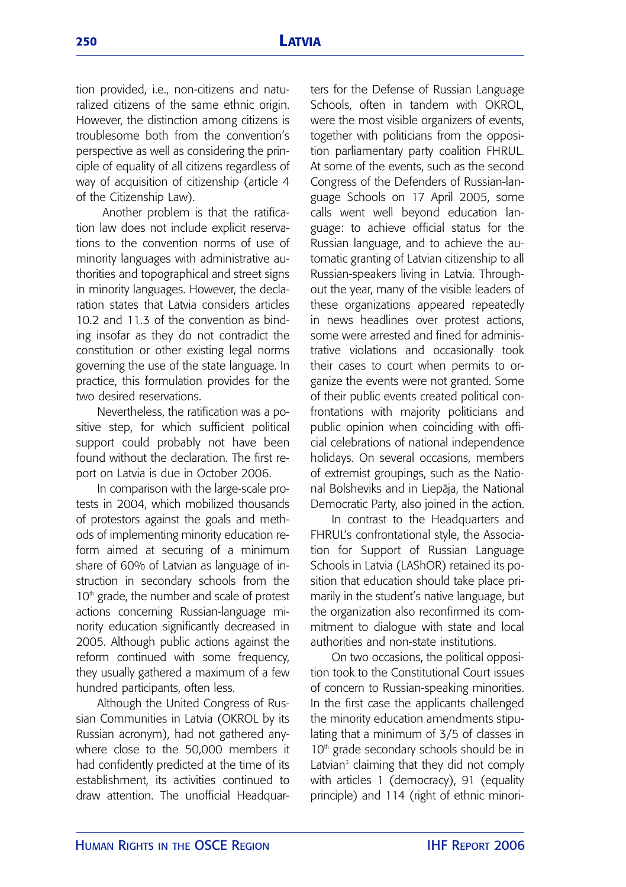tion provided, i.e., non-citizens and naturalized citizens of the same ethnic origin. However, the distinction among citizens is troublesome both from the convention's perspective as well as considering the principle of equality of all citizens regardless of way of acquisition of citizenship (article 4 of the Citizenship Law).

Another problem is that the ratification law does not include explicit reservations to the convention norms of use of minority languages with administrative authorities and topographical and street signs in minority languages. However, the declaration states that Latvia considers articles 10.2 and 11.3 of the convention as binding insofar as they do not contradict the constitution or other existing legal norms governing the use of the state language. In practice, this formulation provides for the two desired reservations.

Nevertheless, the ratification was a positive step, for which sufficient political support could probably not have been found without the declaration. The first report on Latvia is due in October 2006.

In comparison with the large-scale protests in 2004, which mobilized thousands of protestors against the goals and methods of implementing minority education reform aimed at securing of a minimum share of 60% of Latvian as language of instruction in secondary schools from the 10<sup>th</sup> grade, the number and scale of protest actions concerning Russian-language minority education significantly decreased in 2005. Although public actions against the reform continued with some frequency, they usually gathered a maximum of a few hundred participants, often less.

Although the United Congress of Russian Communities in Latvia (OKROL by its Russian acronym), had not gathered anywhere close to the 50,000 members it had confidently predicted at the time of its establishment, its activities continued to draw attention. The unofficial Headquarters for the Defense of Russian Language Schools, often in tandem with OKROL, were the most visible organizers of events, together with politicians from the opposition parliamentary party coalition FHRUL. At some of the events, such as the second Congress of the Defenders of Russian-language Schools on 17 April 2005, some calls went well beyond education language: to achieve official status for the Russian language, and to achieve the automatic granting of Latvian citizenship to all Russian-speakers living in Latvia. Throughout the year, many of the visible leaders of these organizations appeared repeatedly in news headlines over protest actions, some were arrested and fined for administrative violations and occasionally took their cases to court when permits to organize the events were not granted. Some of their public events created political confrontations with majority politicians and public opinion when coinciding with official celebrations of national independence holidays. On several occasions, members of extremist groupings, such as the National Bolsheviks and in Liepāja, the National Democratic Party, also joined in the action.

In contrast to the Headquarters and FHRUL's confrontational style, the Association for Support of Russian Language Schools in Latvia (LAShOR) retained its position that education should take place primarily in the student's native language, but the organization also reconfirmed its commitment to dialogue with state and local authorities and non-state institutions.

On two occasions, the political opposition took to the Constitutional Court issues of concern to Russian-speaking minorities. In the first case the applicants challenged the minority education amendments stipulating that a minimum of 3/5 of classes in 10<sup>th</sup> grade secondary schools should be in Latvian $3$  claiming that they did not comply with articles 1 (democracy), 91 (equality principle) and 114 (right of ethnic minori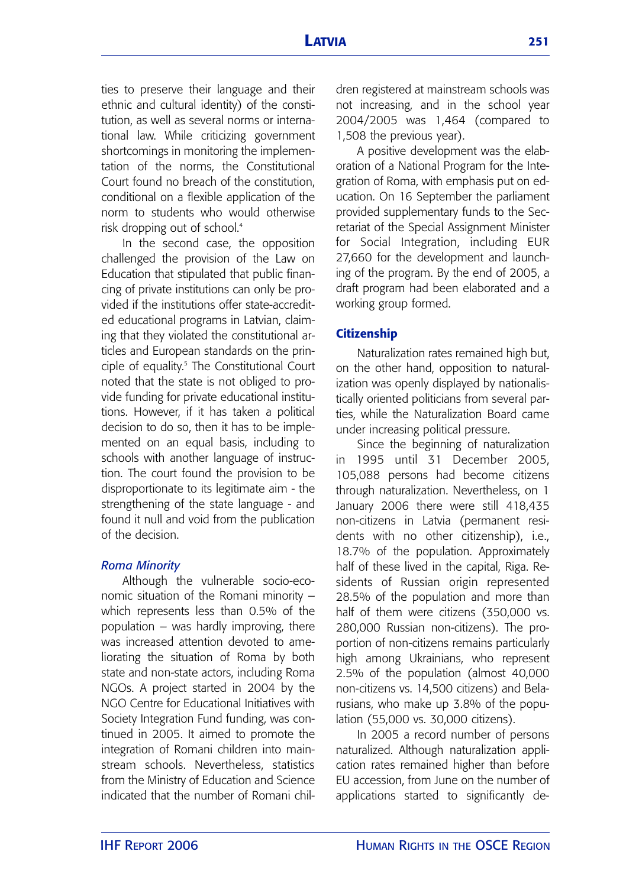ties to preserve their language and their ethnic and cultural identity) of the constitution, as well as several norms or international law. While criticizing government shortcomings in monitoring the implementation of the norms, the Constitutional Court found no breach of the constitution, conditional on a flexible application of the norm to students who would otherwise risk dropping out of school.4

In the second case, the opposition challenged the provision of the Law on Education that stipulated that public financing of private institutions can only be provided if the institutions offer state-accredited educational programs in Latvian, claiming that they violated the constitutional articles and European standards on the principle of equality.<sup>5</sup> The Constitutional Court noted that the state is not obliged to provide funding for private educational institutions. However, if it has taken a political decision to do so, then it has to be implemented on an equal basis, including to schools with another language of instruction. The court found the provision to be disproportionate to its legitimate aim - the strengthening of the state language - and found it null and void from the publication of the decision.

#### *Roma Minority*

Although the vulnerable socio-economic situation of the Romani minority – which represents less than 0.5% of the population – was hardly improving, there was increased attention devoted to ameliorating the situation of Roma by both state and non-state actors, including Roma NGOs. A project started in 2004 by the NGO Centre for Educational Initiatives with Society Integration Fund funding, was continued in 2005. It aimed to promote the integration of Romani children into mainstream schools. Nevertheless, statistics from the Ministry of Education and Science indicated that the number of Romani children registered at mainstream schools was not increasing, and in the school year 2004/2005 was 1,464 (compared to 1,508 the previous year).

A positive development was the elaboration of a National Program for the Integration of Roma, with emphasis put on education. On 16 September the parliament provided supplementary funds to the Secretariat of the Special Assignment Minister for Social Integration, including EUR 27,660 for the development and launching of the program. By the end of 2005, a draft program had been elaborated and a working group formed.

### **Citizenship**

Naturalization rates remained high but, on the other hand, opposition to naturalization was openly displayed by nationalistically oriented politicians from several parties, while the Naturalization Board came under increasing political pressure.

Since the beginning of naturalization in 1995 until 31 December 2005, 105,088 persons had become citizens through naturalization. Nevertheless, on 1 January 2006 there were still 418,435 non-citizens in Latvia (permanent residents with no other citizenship), i.e., 18.7% of the population. Approximately half of these lived in the capital, Riga. Residents of Russian origin represented 28.5% of the population and more than half of them were citizens (350,000 vs. 280,000 Russian non-citizens). The proportion of non-citizens remains particularly high among Ukrainians, who represent 2.5% of the population (almost 40,000 non-citizens vs. 14,500 citizens) and Belarusians, who make up 3.8% of the population (55,000 vs. 30,000 citizens).

In 2005 a record number of persons naturalized. Although naturalization application rates remained higher than before EU accession, from June on the number of applications started to significantly de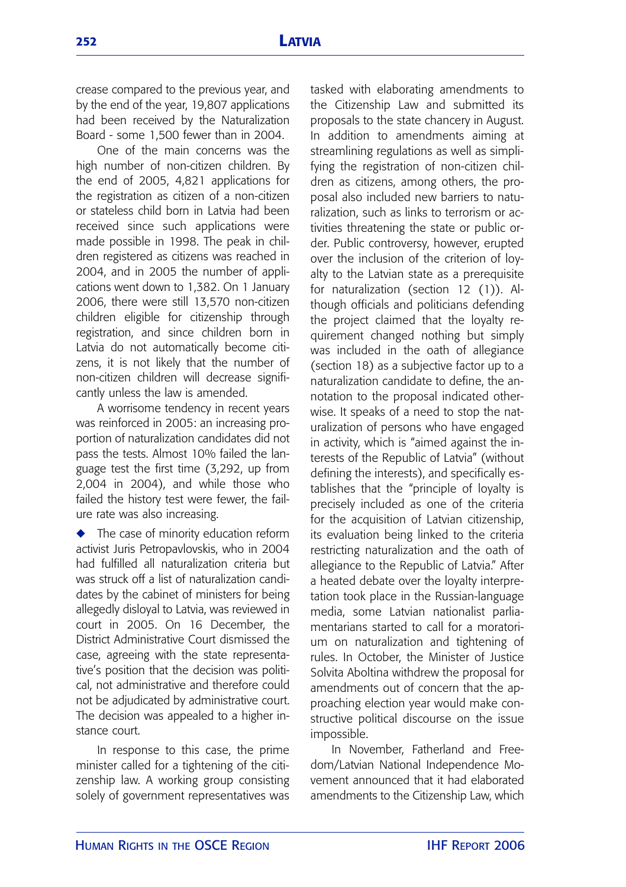crease compared to the previous year, and by the end of the year, 19,807 applications had been received by the Naturalization Board - some 1,500 fewer than in 2004.

One of the main concerns was the high number of non-citizen children. By the end of 2005, 4,821 applications for the registration as citizen of a non-citizen or stateless child born in Latvia had been received since such applications were made possible in 1998. The peak in children registered as citizens was reached in 2004, and in 2005 the number of applications went down to 1,382. On 1 January 2006, there were still 13,570 non-citizen children eligible for citizenship through registration, and since children born in Latvia do not automatically become citizens, it is not likely that the number of non-citizen children will decrease significantly unless the law is amended.

A worrisome tendency in recent years was reinforced in 2005: an increasing proportion of naturalization candidates did not pass the tests. Almost 10% failed the language test the first time (3,292, up from 2,004 in 2004), and while those who failed the history test were fewer, the failure rate was also increasing.

**◆** The case of minority education reform activist Juris Petropavlovskis, who in 2004 had fulfilled all naturalization criteria but was struck off a list of naturalization candidates by the cabinet of ministers for being allegedly disloyal to Latvia, was reviewed in court in 2005. On 16 December, the District Administrative Court dismissed the case, agreeing with the state representative's position that the decision was political, not administrative and therefore could not be adjudicated by administrative court. The decision was appealed to a higher instance court.

In response to this case, the prime minister called for a tightening of the citizenship law. A working group consisting solely of government representatives was tasked with elaborating amendments to the Citizenship Law and submitted its proposals to the state chancery in August. In addition to amendments aiming at streamlining regulations as well as simplifying the registration of non-citizen children as citizens, among others, the proposal also included new barriers to naturalization, such as links to terrorism or activities threatening the state or public order. Public controversy, however, erupted over the inclusion of the criterion of loyalty to the Latvian state as a prerequisite for naturalization (section 12 (1)). Although officials and politicians defending the project claimed that the loyalty requirement changed nothing but simply was included in the oath of allegiance (section 18) as a subjective factor up to a naturalization candidate to define, the annotation to the proposal indicated otherwise. It speaks of a need to stop the naturalization of persons who have engaged in activity, which is "aimed against the interests of the Republic of Latvia" (without defining the interests), and specifically establishes that the "principle of loyalty is precisely included as one of the criteria for the acquisition of Latvian citizenship, its evaluation being linked to the criteria restricting naturalization and the oath of allegiance to the Republic of Latvia." After a heated debate over the loyalty interpretation took place in the Russian-language media, some Latvian nationalist parliamentarians started to call for a moratorium on naturalization and tightening of rules. In October, the Minister of Justice Solvita Aboltina withdrew the proposal for amendments out of concern that the approaching election year would make constructive political discourse on the issue impossible.

In November, Fatherland and Freedom/Latvian National Independence Movement announced that it had elaborated amendments to the Citizenship Law, which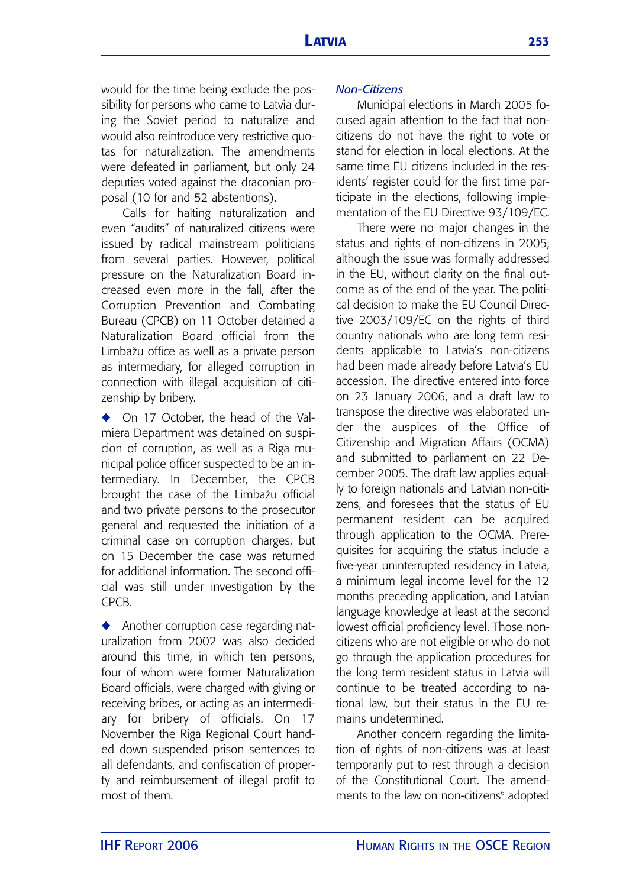would for the time being exclude the possibility for persons who came to Latvia during the Soviet period to naturalize and would also reintroduce very restrictive quotas for naturalization. The amendments were defeated in parliament, but only 24 deputies voted against the draconian proposal (10 for and 52 abstentions).

Calls for halting naturalization and even "audits" of naturalized citizens were issued by radical mainstream politicians from several parties. However, political pressure on the Naturalization Board increased even more in the fall, after the Corruption Prevention and Combating Bureau (CPCB) on 11 October detained a Naturalization Board official from the Limbažu office as well as a private person as intermediary, for alleged corruption in connection with illegal acquisition of citizenship by bribery.

◆ On 17 October, the head of the Valmiera Department was detained on suspicion of corruption, as well as a Riga municipal police officer suspected to be an intermediary. In December, the CPCB brought the case of the Limbažu official and two private persons to the prosecutor general and requested the initiation of a criminal case on corruption charges, but on 15 December the case was returned for additional information. The second official was still under investigation by the CPCB.

**◆** Another corruption case regarding naturalization from 2002 was also decided around this time, in which ten persons, four of whom were former Naturalization Board officials, were charged with giving or receiving bribes, or acting as an intermediary for bribery of officials. On 17 November the Riga Regional Court handed down suspended prison sentences to all defendants, and confiscation of property and reimbursement of illegal profit to most of them.

# *Non-Citizens*

Municipal elections in March 2005 focused again attention to the fact that noncitizens do not have the right to vote or stand for election in local elections. At the same time EU citizens included in the residents' register could for the first time participate in the elections, following implementation of the EU Directive 93/109/EC.

There were no major changes in the status and rights of non-citizens in 2005, although the issue was formally addressed in the EU, without clarity on the final outcome as of the end of the year. The political decision to make the EU Council Directive 2003/109/EC on the rights of third country nationals who are long term residents applicable to Latvia's non-citizens had been made already before Latvia's EU accession. The directive entered into force on 23 January 2006, and a draft law to transpose the directive was elaborated under the auspices of the Office of Citizenship and Migration Affairs (OCMA) and submitted to parliament on 22 December 2005. The draft law applies equally to foreign nationals and Latvian non-citizens, and foresees that the status of EU permanent resident can be acquired through application to the OCMA. Prerequisites for acquiring the status include a five-year uninterrupted residency in Latvia, a minimum legal income level for the 12 months preceding application, and Latvian language knowledge at least at the second lowest official proficiency level. Those noncitizens who are not eligible or who do not go through the application procedures for the long term resident status in Latvia will continue to be treated according to national law, but their status in the EU remains undetermined.

Another concern regarding the limitation of rights of non-citizens was at least temporarily put to rest through a decision of the Constitutional Court. The amendments to the law on non-citizens<sup>6</sup> adopted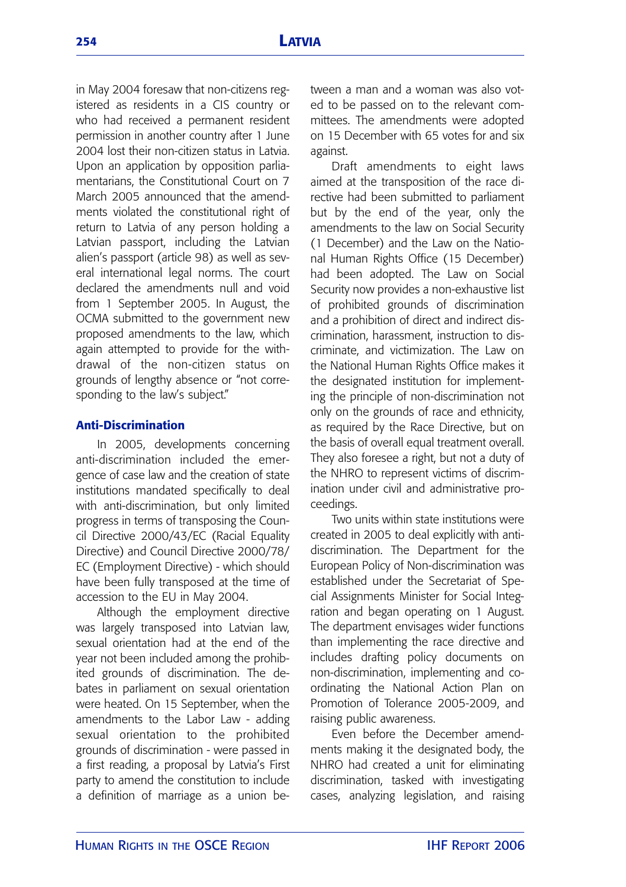in May 2004 foresaw that non-citizens registered as residents in a CIS country or who had received a permanent resident permission in another country after 1 June 2004 lost their non-citizen status in Latvia. Upon an application by opposition parliamentarians, the Constitutional Court on 7 March 2005 announced that the amendments violated the constitutional right of return to Latvia of any person holding a Latvian passport, including the Latvian alien's passport (article 98) as well as several international legal norms. The court declared the amendments null and void from 1 September 2005. In August, the OCMA submitted to the government new proposed amendments to the law, which again attempted to provide for the withdrawal of the non-citizen status on grounds of lengthy absence or "not corresponding to the law's subject."

# **Anti-Discrimination**

In 2005, developments concerning anti-discrimination included the emergence of case law and the creation of state institutions mandated specifically to deal with anti-discrimination, but only limited progress in terms of transposing the Council Directive 2000/43/EC (Racial Equality Directive) and Council Directive 2000/78/ EC (Employment Directive) - which should have been fully transposed at the time of accession to the EU in May 2004.

Although the employment directive was largely transposed into Latvian law, sexual orientation had at the end of the year not been included among the prohibited grounds of discrimination. The debates in parliament on sexual orientation were heated. On 15 September, when the amendments to the Labor Law - adding sexual orientation to the prohibited grounds of discrimination - were passed in a first reading, a proposal by Latvia's First party to amend the constitution to include a definition of marriage as a union between a man and a woman was also voted to be passed on to the relevant committees. The amendments were adopted on 15 December with 65 votes for and six against.

Draft amendments to eight laws aimed at the transposition of the race directive had been submitted to parliament but by the end of the year, only the amendments to the law on Social Security (1 December) and the Law on the National Human Rights Office (15 December) had been adopted. The Law on Social Security now provides a non-exhaustive list of prohibited grounds of discrimination and a prohibition of direct and indirect discrimination, harassment, instruction to discriminate, and victimization. The Law on the National Human Rights Office makes it the designated institution for implementing the principle of non-discrimination not only on the grounds of race and ethnicity, as required by the Race Directive, but on the basis of overall equal treatment overall. They also foresee a right, but not a duty of the NHRO to represent victims of discrimination under civil and administrative proceedings.

Two units within state institutions were created in 2005 to deal explicitly with antidiscrimination. The Department for the European Policy of Non-discrimination was established under the Secretariat of Special Assignments Minister for Social Integration and began operating on 1 August. The department envisages wider functions than implementing the race directive and includes drafting policy documents on non-discrimination, implementing and coordinating the National Action Plan on Promotion of Tolerance 2005-2009, and raising public awareness.

Even before the December amendments making it the designated body, the NHRO had created a unit for eliminating discrimination, tasked with investigating cases, analyzing legislation, and raising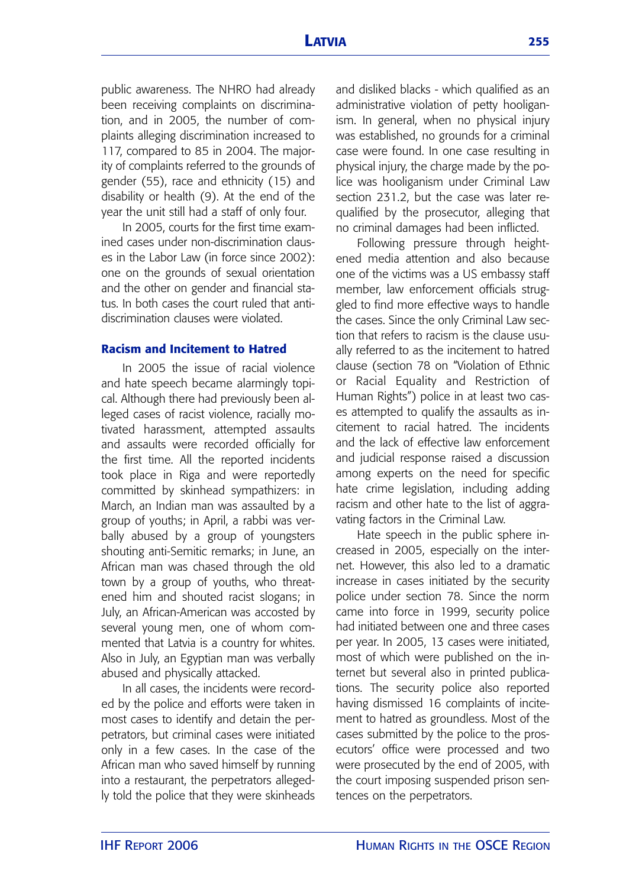public awareness. The NHRO had already been receiving complaints on discrimination, and in 2005, the number of complaints alleging discrimination increased to 117, compared to 85 in 2004. The majority of complaints referred to the grounds of gender (55), race and ethnicity (15) and disability or health (9). At the end of the year the unit still had a staff of only four.

In 2005, courts for the first time examined cases under non-discrimination clauses in the Labor Law (in force since 2002): one on the grounds of sexual orientation and the other on gender and financial status. In both cases the court ruled that antidiscrimination clauses were violated.

# **Racism and Incitement to Hatred**

In 2005 the issue of racial violence and hate speech became alarmingly topical. Although there had previously been alleged cases of racist violence, racially motivated harassment, attempted assaults and assaults were recorded officially for the first time. All the reported incidents took place in Riga and were reportedly committed by skinhead sympathizers: in March, an Indian man was assaulted by a group of youths; in April, a rabbi was verbally abused by a group of youngsters shouting anti-Semitic remarks; in June, an African man was chased through the old town by a group of youths, who threatened him and shouted racist slogans; in July, an African-American was accosted by several young men, one of whom commented that Latvia is a country for whites. Also in July, an Egyptian man was verbally abused and physically attacked.

In all cases, the incidents were recorded by the police and efforts were taken in most cases to identify and detain the perpetrators, but criminal cases were initiated only in a few cases. In the case of the African man who saved himself by running into a restaurant, the perpetrators allegedly told the police that they were skinheads and disliked blacks - which qualified as an administrative violation of petty hooliganism. In general, when no physical injury was established, no grounds for a criminal case were found. In one case resulting in physical injury, the charge made by the police was hooliganism under Criminal Law section 231.2, but the case was later requalified by the prosecutor, alleging that no criminal damages had been inflicted.

Following pressure through heightened media attention and also because one of the victims was a US embassy staff member, law enforcement officials struggled to find more effective ways to handle the cases. Since the only Criminal Law section that refers to racism is the clause usually referred to as the incitement to hatred clause (section 78 on "Violation of Ethnic or Racial Equality and Restriction of Human Rights") police in at least two cases attempted to qualify the assaults as incitement to racial hatred. The incidents and the lack of effective law enforcement and judicial response raised a discussion among experts on the need for specific hate crime legislation, including adding racism and other hate to the list of aggravating factors in the Criminal Law.

Hate speech in the public sphere increased in 2005, especially on the internet. However, this also led to a dramatic increase in cases initiated by the security police under section 78. Since the norm came into force in 1999, security police had initiated between one and three cases per year. In 2005, 13 cases were initiated, most of which were published on the internet but several also in printed publications. The security police also reported having dismissed 16 complaints of incitement to hatred as groundless. Most of the cases submitted by the police to the prosecutors' office were processed and two were prosecuted by the end of 2005, with the court imposing suspended prison sentences on the perpetrators.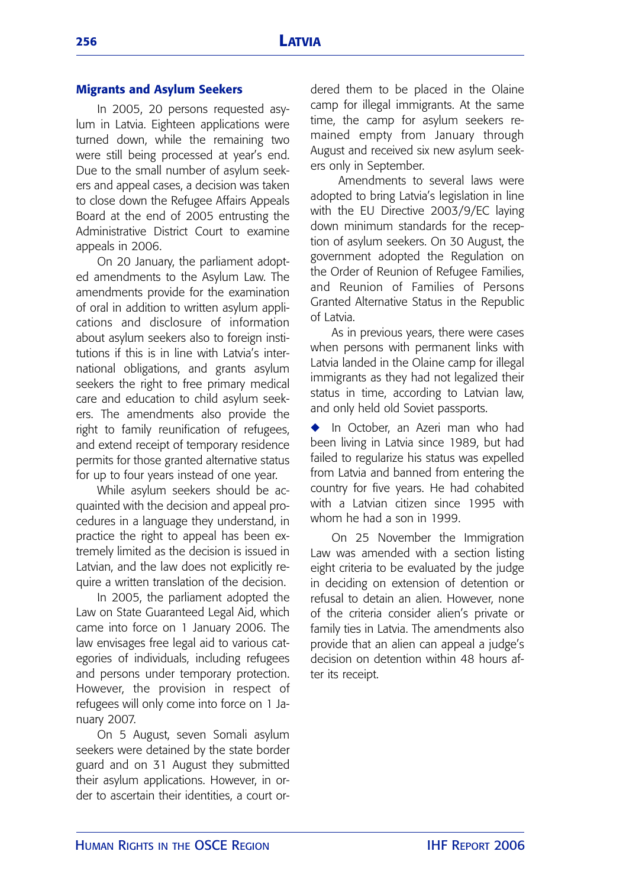# **Migrants and Asylum Seekers**

In 2005, 20 persons requested asylum in Latvia. Eighteen applications were turned down, while the remaining two were still being processed at year's end. Due to the small number of asylum seekers and appeal cases, a decision was taken to close down the Refugee Affairs Appeals Board at the end of 2005 entrusting the Administrative District Court to examine appeals in 2006.

On 20 January, the parliament adopted amendments to the Asylum Law. The amendments provide for the examination of oral in addition to written asylum applications and disclosure of information about asylum seekers also to foreign institutions if this is in line with Latvia's international obligations, and grants asylum seekers the right to free primary medical care and education to child asylum seekers. The amendments also provide the right to family reunification of refugees, and extend receipt of temporary residence permits for those granted alternative status for up to four years instead of one year.

While asylum seekers should be acquainted with the decision and appeal procedures in a language they understand, in practice the right to appeal has been extremely limited as the decision is issued in Latvian, and the law does not explicitly require a written translation of the decision.

In 2005, the parliament adopted the Law on State Guaranteed Legal Aid, which came into force on 1 January 2006. The law envisages free legal aid to various categories of individuals, including refugees and persons under temporary protection. However, the provision in respect of refugees will only come into force on 1 January 2007.

On 5 August, seven Somali asylum seekers were detained by the state border guard and on 31 August they submitted their asylum applications. However, in order to ascertain their identities, a court ordered them to be placed in the Olaine camp for illegal immigrants. At the same time, the camp for asylum seekers remained empty from January through August and received six new asylum seekers only in September.

Amendments to several laws were adopted to bring Latvia's legislation in line with the EU Directive 2003/9/EC laying down minimum standards for the reception of asylum seekers. On 30 August, the government adopted the Regulation on the Order of Reunion of Refugee Families, and Reunion of Families of Persons Granted Alternative Status in the Republic of Latvia.

As in previous years, there were cases when persons with permanent links with Latvia landed in the Olaine camp for illegal immigrants as they had not legalized their status in time, according to Latvian law, and only held old Soviet passports.

**◆** In October, an Azeri man who had been living in Latvia since 1989, but had failed to regularize his status was expelled from Latvia and banned from entering the country for five years. He had cohabited with a Latvian citizen since 1995 with whom he had a son in 1999.

On 25 November the Immigration Law was amended with a section listing eight criteria to be evaluated by the judge in deciding on extension of detention or refusal to detain an alien. However, none of the criteria consider alien's private or family ties in Latvia. The amendments also provide that an alien can appeal a judge's decision on detention within 48 hours after its receipt.